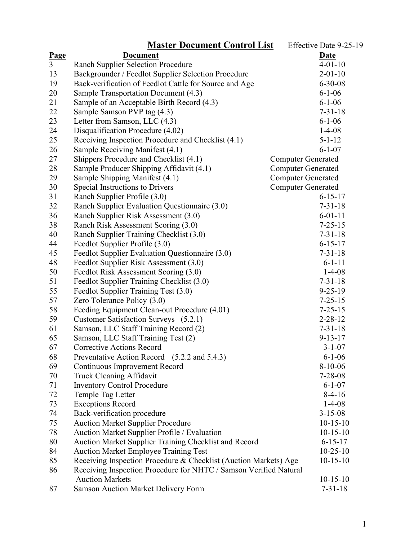|                | <b>Master Document Control List</b>                               | Effective Date 9-25-19    |
|----------------|-------------------------------------------------------------------|---------------------------|
| Page           | <b>Document</b>                                                   | <b>Date</b>               |
| $\overline{3}$ | <b>Ranch Supplier Selection Procedure</b>                         | $4 - 01 - 10$             |
| 13             | Backgrounder / Feedlot Supplier Selection Procedure               | $2 - 01 - 10$             |
| 19             | Back-verification of Feedlot Cattle for Source and Age            | $6 - 30 - 08$             |
| 20             | Sample Transportation Document (4.3)                              | $6 - 1 - 06$              |
| 21             | Sample of an Acceptable Birth Record (4.3)                        | $6 - 1 - 06$              |
| 22             | Sample Samson PVP tag (4.3)                                       | $7 - 31 - 18$             |
| 23             | Letter from Samson, LLC (4.3)                                     | $6 - 1 - 06$              |
| 24             | Disqualification Procedure (4.02)                                 | $1 - 4 - 08$              |
| 25             | Receiving Inspection Procedure and Checklist (4.1)                | $5 - 1 - 12$              |
| 26             | Sample Receiving Manifest (4.1)                                   | $6 - 1 - 07$              |
| 27             | Shippers Procedure and Checklist (4.1)                            | <b>Computer Generated</b> |
| 28             | Sample Producer Shipping Affidavit (4.1)                          | <b>Computer Generated</b> |
| 29             | Sample Shipping Manifest (4.1)                                    | <b>Computer Generated</b> |
| 30             | Special Instructions to Drivers                                   | <b>Computer Generated</b> |
| 31             | Ranch Supplier Profile (3.0)                                      | $6 - 15 - 17$             |
| 32             | Ranch Supplier Evaluation Questionnaire (3.0)                     | $7 - 31 - 18$             |
| 36             | Ranch Supplier Risk Assessment (3.0)                              | $6 - 01 - 11$             |
| 38             | Ranch Risk Assessment Scoring (3.0)                               | $7 - 25 - 15$             |
| 40             | Ranch Supplier Training Checklist (3.0)                           | $7 - 31 - 18$             |
| 44             | Feedlot Supplier Profile (3.0)                                    | $6 - 15 - 17$             |
| 45             | Feedlot Supplier Evaluation Questionnaire (3.0)                   | $7 - 31 - 18$             |
| 48             | Feedlot Supplier Risk Assessment (3.0)                            | $6 - 1 - 11$              |
| 50             | Feedlot Risk Assessment Scoring (3.0)                             | $1-4-08$                  |
| 51             | Feedlot Supplier Training Checklist (3.0)                         | $7 - 31 - 18$             |
| 55             | Feedlot Supplier Training Test (3.0)                              | $9 - 25 - 19$             |
| 57             | Zero Tolerance Policy (3.0)                                       | $7 - 25 - 15$             |
| 58             | Feeding Equipment Clean-out Procedure (4.01)                      | $7 - 25 - 15$             |
| 59             | Customer Satisfaction Surveys (5.2.1)                             | $2 - 28 - 12$             |
| 61             | Samson, LLC Staff Training Record (2)                             | $7 - 31 - 18$             |
| 65             | Samson, LLC Staff Training Test (2)                               | $9 - 13 - 17$             |
| 67             | <b>Corrective Actions Record</b>                                  | $3 - 1 - 07$              |
| 68             | Preventative Action Record<br>$(5.2.2 \text{ and } 5.4.3)$        | $6 - 1 - 06$              |
| 69             | <b>Continuous Improvement Record</b>                              | $8-10-06$                 |
| 70             | Truck Cleaning Affidavit                                          | $7 - 28 - 08$             |
| 71             | <b>Inventory Control Procedure</b>                                | $6 - 1 - 07$              |
| 72             | Temple Tag Letter                                                 | $8-4-16$                  |
| 73             | <b>Exceptions Record</b>                                          | $1-4-08$                  |
| 74             | Back-verification procedure                                       | $3 - 15 - 08$             |
| 75             | <b>Auction Market Supplier Procedure</b>                          | $10-15-10$                |
| 78             | Auction Market Supplier Profile / Evaluation                      | $10-15-10$                |
| 80             | Auction Market Supplier Training Checklist and Record             | $6 - 15 - 17$             |
| 84             | <b>Auction Market Employee Training Test</b>                      | $10-25-10$                |
| 85             | Receiving Inspection Procedure & Checklist (Auction Markets) Age  | $10-15-10$                |
| 86             | Receiving Inspection Procedure for NHTC / Samson Verified Natural |                           |
|                | <b>Auction Markets</b>                                            | $10-15-10$                |
| 87             | <b>Samson Auction Market Delivery Form</b>                        | $7 - 31 - 18$             |